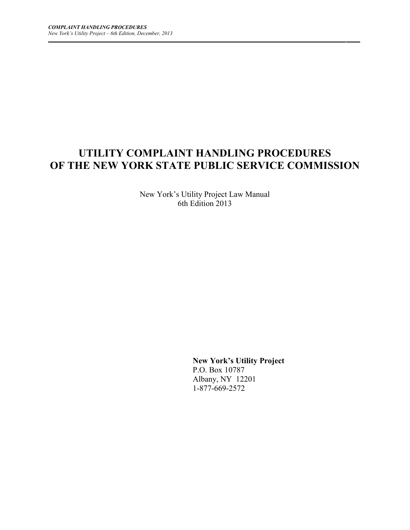# **UTILITY COMPLAINT HANDLING PROCEDURES OF THE NEW YORK STATE PUBLIC SERVICE COMMISSION**

*\_\_\_\_\_\_\_\_\_\_\_\_\_\_\_\_\_\_\_\_\_\_\_\_\_\_\_\_\_\_\_\_\_\_\_\_\_\_\_\_\_\_\_\_\_\_\_\_\_\_\_\_\_\_\_\_\_\_\_\_\_\_\_\_\_\_\_\_\_\_\_\_\_\_\_\_\_\_\_\_\_\_\_\_\_\_\_\_\_\_\_\_\_\_\_\_\_\_\_\_\_\_\_\_\_\_\_\_\_\_\_ \_\_\_\_\_*

New York's Utility Project Law Manual 6th Edition 2013

> **New York's Utility Project** P.O. Box 10787 Albany, NY 12201 1-877-669-2572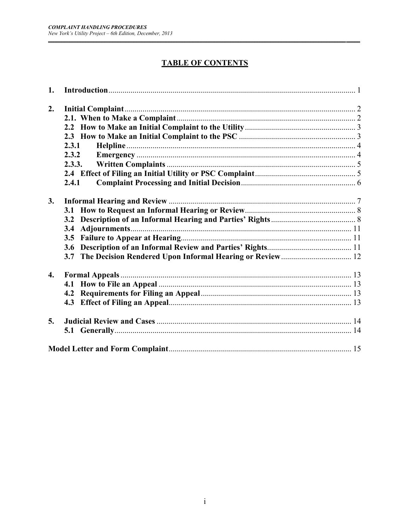$\overline{a}$ 

# **TABLE OF CONTENTS**

| 1.               |        |  |
|------------------|--------|--|
| 2.               |        |  |
|                  |        |  |
|                  |        |  |
|                  |        |  |
|                  | 2.3.1  |  |
|                  | 2.3.2  |  |
|                  | 2.3.3. |  |
|                  |        |  |
|                  | 2.4.1  |  |
|                  |        |  |
| 3.               |        |  |
|                  |        |  |
|                  |        |  |
|                  | 3.4    |  |
|                  | 3.5    |  |
|                  | 3.6    |  |
|                  | 3.7    |  |
|                  |        |  |
| $\overline{4}$ . |        |  |
|                  |        |  |
|                  |        |  |
|                  |        |  |
| 5.               |        |  |
|                  |        |  |
|                  |        |  |
|                  |        |  |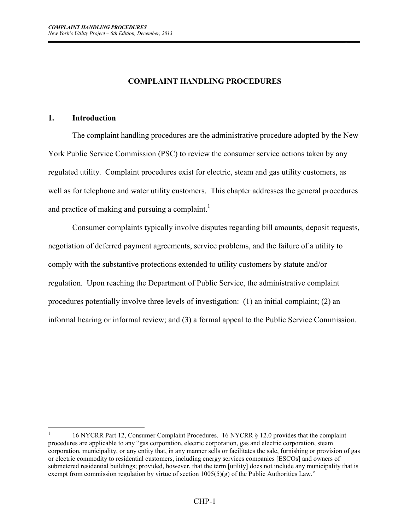#### **COMPLAINT HANDLING PROCEDURES**

*\_\_\_\_\_\_\_\_\_\_\_\_\_\_\_\_\_\_\_\_\_\_\_\_\_\_\_\_\_\_\_\_\_\_\_\_\_\_\_\_\_\_\_\_\_\_\_\_\_\_\_\_\_\_\_\_\_\_\_\_\_\_\_\_\_\_\_\_\_\_\_\_\_\_\_\_\_\_\_\_\_\_\_\_\_\_\_\_\_\_\_\_\_\_\_\_\_\_\_\_\_\_\_\_\_\_\_\_\_\_\_ \_\_\_\_\_*

#### **1. Introduction**

 $\overline{a}$ 

The complaint handling procedures are the administrative procedure adopted by the New York Public Service Commission (PSC) to review the consumer service actions taken by any regulated utility. Complaint procedures exist for electric, steam and gas utility customers, as well as for telephone and water utility customers. This chapter addresses the general procedures and practice of making and pursuing a complaint.<sup>1</sup>

Consumer complaints typically involve disputes regarding bill amounts, deposit requests, negotiation of deferred payment agreements, service problems, and the failure of a utility to comply with the substantive protections extended to utility customers by statute and/or regulation. Upon reaching the Department of Public Service, the administrative complaint procedures potentially involve three levels of investigation: (1) an initial complaint; (2) an informal hearing or informal review; and (3) a formal appeal to the Public Service Commission.

<sup>1</sup> 16 NYCRR Part 12, Consumer Complaint Procedures. 16 NYCRR § 12.0 provides that the complaint procedures are applicable to any "gas corporation, electric corporation, gas and electric corporation, steam corporation, municipality, or any entity that, in any manner sells or facilitates the sale, furnishing or provision of gas or electric commodity to residential customers, including energy services companies [ESCOs] and owners of submetered residential buildings; provided, however, that the term [utility] does not include any municipality that is exempt from commission regulation by virtue of section  $1005(5)(g)$  of the Public Authorities Law."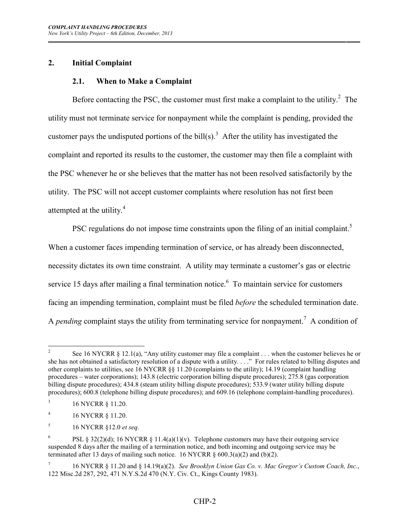## **2. Initial Complaint**

## **2.1. When to Make a Complaint**

Before contacting the PSC, the customer must first make a complaint to the utility. $2$  The utility must not terminate service for nonpayment while the complaint is pending, provided the customer pays the undisputed portions of the bill(s).<sup>3</sup> After the utility has investigated the complaint and reported its results to the customer, the customer may then file a complaint with the PSC whenever he or she believes that the matter has not been resolved satisfactorily by the utility. The PSC will not accept customer complaints where resolution has not first been attempted at the utility.<sup>4</sup>

*\_\_\_\_\_\_\_\_\_\_\_\_\_\_\_\_\_\_\_\_\_\_\_\_\_\_\_\_\_\_\_\_\_\_\_\_\_\_\_\_\_\_\_\_\_\_\_\_\_\_\_\_\_\_\_\_\_\_\_\_\_\_\_\_\_\_\_\_\_\_\_\_\_\_\_\_\_\_\_\_\_\_\_\_\_\_\_\_\_\_\_\_\_\_\_\_\_\_\_\_\_\_\_\_\_\_\_\_\_\_\_ \_\_\_\_\_*

PSC regulations do not impose time constraints upon the filing of an initial complaint.<sup>5</sup> When a customer faces impending termination of service, or has already been disconnected, necessity dictates its own time constraint. A utility may terminate a customer's gas or electric service 15 days after mailing a final termination notice. $6\degree$  To maintain service for customers facing an impending termination, complaint must be filed *before* the scheduled termination date. A *pending* complaint stays the utility from terminating service for nonpayment.<sup>7</sup> A condition of

 $\frac{1}{2}$ See 16 NYCRR § 12.1(a), "Any utility customer may file a complaint . . . when the customer believes he or she has not obtained a satisfactory resolution of a dispute with a utility. . . ." For rules related to billing disputes and other complaints to utilities, see 16 NYCRR §§ 11.20 (complaints to the utility); 14.19 (complaint handling procedures – water corporations); 143.8 (electric corporation billing dispute procedures); 275.8 (gas corporation billing dispute procedures); 434.8 (steam utility billing dispute procedures); 533.9 (water utility billing dispute procedures); 600.8 (telephone billing dispute procedures); and 609.16 (telephone complaint-handling procedures).

<sup>3</sup> 16 NYCRR § 11.20.

<sup>4</sup> 16 NYCRR § 11.20.

<sup>5</sup> 16 NYCRR §12.0 *et seq.*

<sup>6</sup> PSL § 32(2)(d); 16 NYCRR § 11.4(a)(1)(v). Telephone customers may have their outgoing service suspended 8 days after the mailing of a termination notice, and both incoming and outgoing service may be terminated after 13 days of mailing such notice. 16 NYCRR  $\S$  600.3(a)(2) and (b)(2).

<sup>7</sup> 16 NYCRR § 11.20 and § 14.19(a)(2). *See Brooklyn Union Gas Co. v. Mac Gregor's Custom Coach, Inc.*, 122 Misc.2d 287, 292, 471 N.Y.S.2d 470 (N.Y. Civ. Ct., Kings County 1983).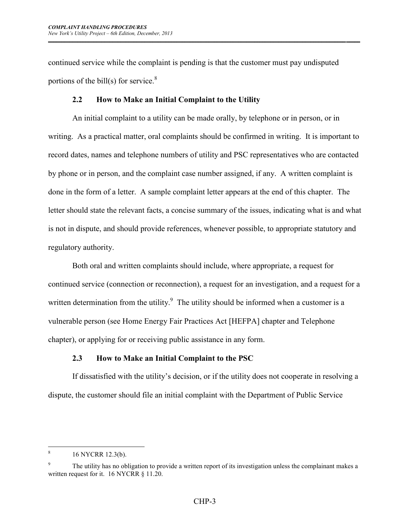continued service while the complaint is pending is that the customer must pay undisputed portions of the bill(s) for service. $8$ 

*\_\_\_\_\_\_\_\_\_\_\_\_\_\_\_\_\_\_\_\_\_\_\_\_\_\_\_\_\_\_\_\_\_\_\_\_\_\_\_\_\_\_\_\_\_\_\_\_\_\_\_\_\_\_\_\_\_\_\_\_\_\_\_\_\_\_\_\_\_\_\_\_\_\_\_\_\_\_\_\_\_\_\_\_\_\_\_\_\_\_\_\_\_\_\_\_\_\_\_\_\_\_\_\_\_\_\_\_\_\_\_ \_\_\_\_\_*

#### **2.2 How to Make an Initial Complaint to the Utility**

An initial complaint to a utility can be made orally, by telephone or in person, or in writing. As a practical matter, oral complaints should be confirmed in writing. It is important to record dates, names and telephone numbers of utility and PSC representatives who are contacted by phone or in person, and the complaint case number assigned, if any. A written complaint is done in the form of a letter. A sample complaint letter appears at the end of this chapter. The letter should state the relevant facts, a concise summary of the issues, indicating what is and what is not in dispute, and should provide references, whenever possible, to appropriate statutory and regulatory authority.

Both oral and written complaints should include, where appropriate, a request for continued service (connection or reconnection), a request for an investigation, and a request for a written determination from the utility. $9$  The utility should be informed when a customer is a vulnerable person (see Home Energy Fair Practices Act [HEFPA] chapter and Telephone chapter), or applying for or receiving public assistance in any form.

## **2.3 How to Make an Initial Complaint to the PSC**

If dissatisfied with the utility's decision, or if the utility does not cooperate in resolving a dispute, the customer should file an initial complaint with the Department of Public Service

<sup>&</sup>lt;u>.</u> 8 16 NYCRR 12.3(b).

<sup>9</sup> The utility has no obligation to provide a written report of its investigation unless the complainant makes a written request for it. 16 NYCRR § 11.20.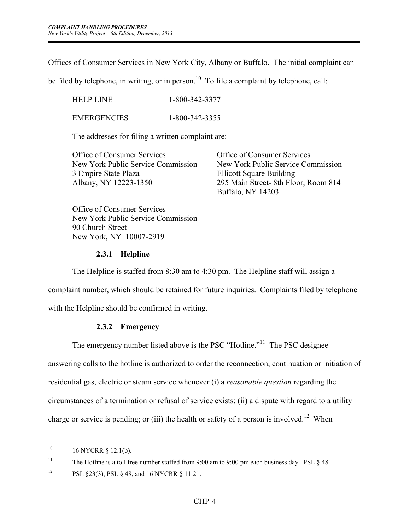Offices of Consumer Services in New York City, Albany or Buffalo. The initial complaint can

*\_\_\_\_\_\_\_\_\_\_\_\_\_\_\_\_\_\_\_\_\_\_\_\_\_\_\_\_\_\_\_\_\_\_\_\_\_\_\_\_\_\_\_\_\_\_\_\_\_\_\_\_\_\_\_\_\_\_\_\_\_\_\_\_\_\_\_\_\_\_\_\_\_\_\_\_\_\_\_\_\_\_\_\_\_\_\_\_\_\_\_\_\_\_\_\_\_\_\_\_\_\_\_\_\_\_\_\_\_\_\_ \_\_\_\_\_*

be filed by telephone, in writing, or in person.<sup>10</sup> To file a complaint by telephone, call:

HELP LINE 1-800-342-3377 EMERGENCIES 1-800-342-3355

The addresses for filing a written complaint are:

 New York Public Service Commission New York Public Service Commission 3 Empire State Plaza Ellicott Square Building Albany, NY 12223-1350 295 Main Street- 8th Floor, Room 814

Office of Consumer Services Office of Consumer Services Buffalo, NY 14203

Office of Consumer Services New York Public Service Commission 90 Church Street New York, NY 10007-2919

#### **2.3.1 Helpline**

The Helpline is staffed from 8:30 am to 4:30 pm. The Helpline staff will assign a

complaint number, which should be retained for future inquiries. Complaints filed by telephone

with the Helpline should be confirmed in writing.

## **2.3.2 Emergency**

The emergency number listed above is the PSC "Hotline."<sup>11</sup> The PSC designee

answering calls to the hotline is authorized to order the reconnection, continuation or initiation of residential gas, electric or steam service whenever (i) a *reasonable question* regarding the circumstances of a termination or refusal of service exists; (ii) a dispute with regard to a utility charge or service is pending; or (iii) the health or safety of a person is involved.<sup>12</sup> When

<sup>11</sup> The Hotline is a toll free number staffed from 9:00 am to 9:00 pm each business day. PSL § 48.

 $10<sup>10</sup>$ <sup>10</sup> 16 NYCRR § 12.1(b).

<sup>12</sup> PSL §23(3), PSL § 48, and 16 NYCRR § 11.21.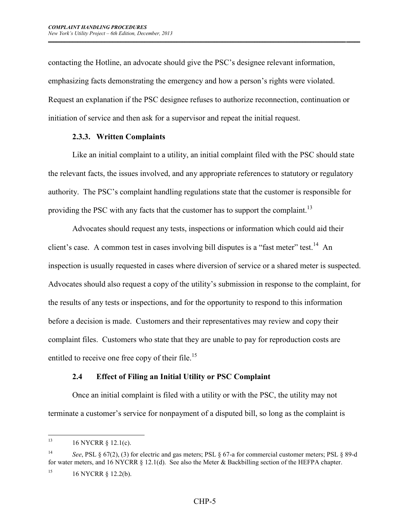contacting the Hotline, an advocate should give the PSC's designee relevant information, emphasizing facts demonstrating the emergency and how a person's rights were violated. Request an explanation if the PSC designee refuses to authorize reconnection, continuation or initiation of service and then ask for a supervisor and repeat the initial request.

*\_\_\_\_\_\_\_\_\_\_\_\_\_\_\_\_\_\_\_\_\_\_\_\_\_\_\_\_\_\_\_\_\_\_\_\_\_\_\_\_\_\_\_\_\_\_\_\_\_\_\_\_\_\_\_\_\_\_\_\_\_\_\_\_\_\_\_\_\_\_\_\_\_\_\_\_\_\_\_\_\_\_\_\_\_\_\_\_\_\_\_\_\_\_\_\_\_\_\_\_\_\_\_\_\_\_\_\_\_\_\_ \_\_\_\_\_*

#### **2.3.3. Written Complaints**

Like an initial complaint to a utility, an initial complaint filed with the PSC should state the relevant facts, the issues involved, and any appropriate references to statutory or regulatory authority. The PSC's complaint handling regulations state that the customer is responsible for providing the PSC with any facts that the customer has to support the complaint.<sup>13</sup>

Advocates should request any tests, inspections or information which could aid their client's case. A common test in cases involving bill disputes is a "fast meter" test.<sup>14</sup> An inspection is usually requested in cases where diversion of service or a shared meter is suspected. Advocates should also request a copy of the utility's submission in response to the complaint, for the results of any tests or inspections, and for the opportunity to respond to this information before a decision is made. Customers and their representatives may review and copy their complaint files. Customers who state that they are unable to pay for reproduction costs are entitled to receive one free copy of their file.<sup>15</sup>

## **2.4 Effect of Filing an Initial Utility or PSC Complaint**

Once an initial complaint is filed with a utility or with the PSC, the utility may not terminate a customer's service for nonpayment of a disputed bill, so long as the complaint is

 $13$ <sup>13</sup> 16 NYCRR § 12.1(c).

<sup>14</sup> *See*, PSL § 67(2), (3) for electric and gas meters; PSL § 67-a for commercial customer meters; PSL § 89-d for water meters, and 16 NYCRR § 12.1(d). See also the Meter & Backbilling section of the HEFPA chapter.

<sup>&</sup>lt;sup>15</sup> 16 NYCRR  $\S$  12.2(b).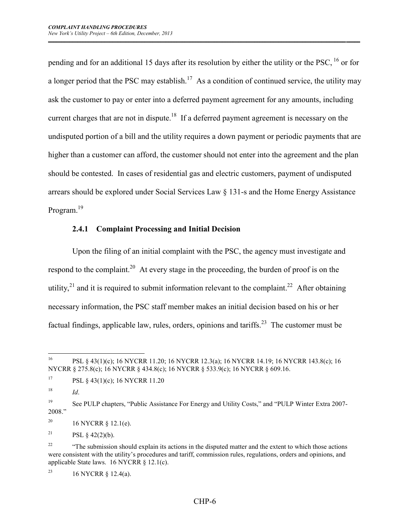pending and for an additional 15 days after its resolution by either the utility or the PSC,  $^{16}$  or for a longer period that the PSC may establish.<sup>17</sup> As a condition of continued service, the utility may ask the customer to pay or enter into a deferred payment agreement for any amounts, including current charges that are not in dispute.<sup>18</sup> If a deferred payment agreement is necessary on the undisputed portion of a bill and the utility requires a down payment or periodic payments that are higher than a customer can afford, the customer should not enter into the agreement and the plan should be contested. In cases of residential gas and electric customers, payment of undisputed arrears should be explored under Social Services Law § 131-s and the Home Energy Assistance Program.<sup>19</sup>

*\_\_\_\_\_\_\_\_\_\_\_\_\_\_\_\_\_\_\_\_\_\_\_\_\_\_\_\_\_\_\_\_\_\_\_\_\_\_\_\_\_\_\_\_\_\_\_\_\_\_\_\_\_\_\_\_\_\_\_\_\_\_\_\_\_\_\_\_\_\_\_\_\_\_\_\_\_\_\_\_\_\_\_\_\_\_\_\_\_\_\_\_\_\_\_\_\_\_\_\_\_\_\_\_\_\_\_\_\_\_\_ \_\_\_\_\_*

#### **2.4.1 Complaint Processing and Initial Decision**

Upon the filing of an initial complaint with the PSC, the agency must investigate and respond to the complaint.<sup>20</sup> At every stage in the proceeding, the burden of proof is on the utility,<sup>21</sup> and it is required to submit information relevant to the complaint.<sup>22</sup> After obtaining necessary information, the PSC staff member makes an initial decision based on his or her factual findings, applicable law, rules, orders, opinions and tariffs.<sup>23</sup> The customer must be

<sup>21</sup> PSL  $\&$  42(2)(b).

<sup>23</sup> 16 NYCRR § 12.4(a).

<sup>16</sup> <sup>16</sup> PSL § 43(1)(c); 16 NYCRR 11.20; 16 NYCRR 12.3(a); 16 NYCRR 14.19; 16 NYCRR 143.8(c); 16 NYCRR § 275.8(c); 16 NYCRR § 434.8(c); 16 NYCRR § 533.9(c); 16 NYCRR § 609.16.

<sup>&</sup>lt;sup>17</sup> PSL § 43(1)(c); 16 NYCRR 11.20

 $^{18}$  *Id.* 

<sup>&</sup>lt;sup>19</sup> See PULP chapters, "Public Assistance For Energy and Utility Costs," and "PULP Winter Extra 2007-2008."

<sup>&</sup>lt;sup>20</sup> 16 NYCRR § 12.1(e).

<sup>&</sup>lt;sup>22</sup> "The submission should explain its actions in the disputed matter and the extent to which those actions were consistent with the utility's procedures and tariff, commission rules, regulations, orders and opinions, and applicable State laws. 16 NYCRR § 12.1(c).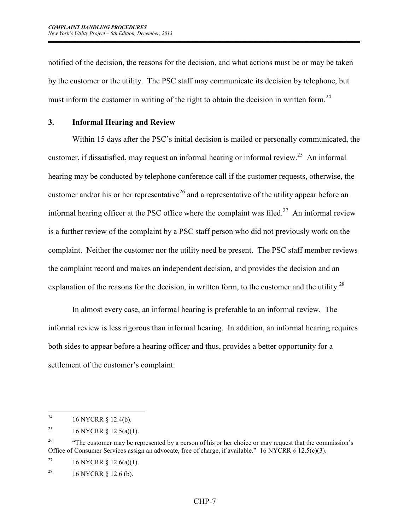notified of the decision, the reasons for the decision, and what actions must be or may be taken by the customer or the utility. The PSC staff may communicate its decision by telephone, but must inform the customer in writing of the right to obtain the decision in written form.<sup>24</sup>

*\_\_\_\_\_\_\_\_\_\_\_\_\_\_\_\_\_\_\_\_\_\_\_\_\_\_\_\_\_\_\_\_\_\_\_\_\_\_\_\_\_\_\_\_\_\_\_\_\_\_\_\_\_\_\_\_\_\_\_\_\_\_\_\_\_\_\_\_\_\_\_\_\_\_\_\_\_\_\_\_\_\_\_\_\_\_\_\_\_\_\_\_\_\_\_\_\_\_\_\_\_\_\_\_\_\_\_\_\_\_\_ \_\_\_\_\_*

#### **3. Informal Hearing and Review**

Within 15 days after the PSC's initial decision is mailed or personally communicated, the customer, if dissatisfied, may request an informal hearing or informal review.<sup>25</sup> An informal hearing may be conducted by telephone conference call if the customer requests, otherwise, the customer and/or his or her representative<sup>26</sup> and a representative of the utility appear before an informal hearing officer at the PSC office where the complaint was filed.<sup>27</sup> An informal review is a further review of the complaint by a PSC staff person who did not previously work on the complaint. Neither the customer nor the utility need be present. The PSC staff member reviews the complaint record and makes an independent decision, and provides the decision and an explanation of the reasons for the decision, in written form, to the customer and the utility.<sup>28</sup>

In almost every case, an informal hearing is preferable to an informal review. The informal review is less rigorous than informal hearing. In addition, an informal hearing requires both sides to appear before a hearing officer and thus, provides a better opportunity for a settlement of the customer's complaint.

 $24\,$ 16 NYCRR § 12.4(b).

<sup>&</sup>lt;sup>25</sup> 16 NYCRR § 12.5(a)(1).

<sup>&</sup>lt;sup>26</sup> "The customer may be represented by a person of his or her choice or may request that the commission's Office of Consumer Services assign an advocate, free of charge, if available." 16 NYCRR § 12.5(c)(3).

<sup>&</sup>lt;sup>27</sup> 16 NYCRR  $\frac{1}{2}$  12.6(a)(1).

<sup>&</sup>lt;sup>28</sup> 16 NYCRR  $\S$  12.6 (b).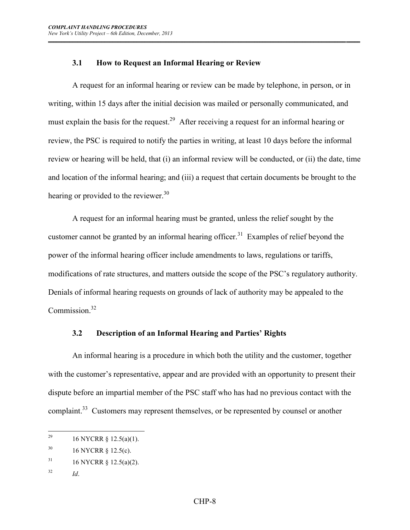## **3.1 How to Request an Informal Hearing or Review**

A request for an informal hearing or review can be made by telephone, in person, or in writing, within 15 days after the initial decision was mailed or personally communicated, and must explain the basis for the request.<sup>29</sup> After receiving a request for an informal hearing or review, the PSC is required to notify the parties in writing, at least 10 days before the informal review or hearing will be held, that (i) an informal review will be conducted, or (ii) the date, time and location of the informal hearing; and (iii) a request that certain documents be brought to the hearing or provided to the reviewer. $30$ 

*\_\_\_\_\_\_\_\_\_\_\_\_\_\_\_\_\_\_\_\_\_\_\_\_\_\_\_\_\_\_\_\_\_\_\_\_\_\_\_\_\_\_\_\_\_\_\_\_\_\_\_\_\_\_\_\_\_\_\_\_\_\_\_\_\_\_\_\_\_\_\_\_\_\_\_\_\_\_\_\_\_\_\_\_\_\_\_\_\_\_\_\_\_\_\_\_\_\_\_\_\_\_\_\_\_\_\_\_\_\_\_ \_\_\_\_\_*

A request for an informal hearing must be granted, unless the relief sought by the customer cannot be granted by an informal hearing officer.<sup>31</sup> Examples of relief beyond the power of the informal hearing officer include amendments to laws, regulations or tariffs, modifications of rate structures, and matters outside the scope of the PSC's regulatory authority. Denials of informal hearing requests on grounds of lack of authority may be appealed to the Commission $32$ 

## **3.2 Description of an Informal Hearing and Parties' Rights**

An informal hearing is a procedure in which both the utility and the customer, together with the customer's representative, appear and are provided with an opportunity to present their dispute before an impartial member of the PSC staff who has had no previous contact with the complaint.<sup>33</sup> Customers may represent themselves, or be represented by counsel or another

<sup>32</sup> *Id*.

<sup>29</sup> <sup>29</sup> 16 NYCRR § 12.5(a)(1).

 $^{30}$  16 NYCRR § 12.5(c).

 $31$  16 NYCRR § 12.5(a)(2).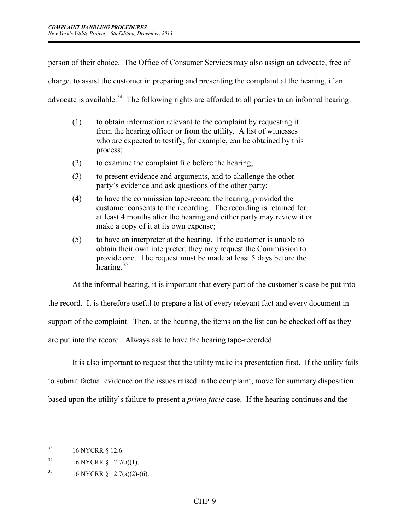person of their choice. The Office of Consumer Services may also assign an advocate, free of

*\_\_\_\_\_\_\_\_\_\_\_\_\_\_\_\_\_\_\_\_\_\_\_\_\_\_\_\_\_\_\_\_\_\_\_\_\_\_\_\_\_\_\_\_\_\_\_\_\_\_\_\_\_\_\_\_\_\_\_\_\_\_\_\_\_\_\_\_\_\_\_\_\_\_\_\_\_\_\_\_\_\_\_\_\_\_\_\_\_\_\_\_\_\_\_\_\_\_\_\_\_\_\_\_\_\_\_\_\_\_\_ \_\_\_\_\_*

charge, to assist the customer in preparing and presenting the complaint at the hearing, if an

advocate is available.<sup>34</sup> The following rights are afforded to all parties to an informal hearing:

- (1) to obtain information relevant to the complaint by requesting it from the hearing officer or from the utility. A list of witnesses who are expected to testify, for example, can be obtained by this process;
- (2) to examine the complaint file before the hearing;
- (3) to present evidence and arguments, and to challenge the other party's evidence and ask questions of the other party;
- (4) to have the commission tape-record the hearing, provided the customer consents to the recording. The recording is retained for at least 4 months after the hearing and either party may review it or make a copy of it at its own expense;
- (5) to have an interpreter at the hearing. If the customer is unable to obtain their own interpreter, they may request the Commission to provide one. The request must be made at least 5 days before the hearing. $35$

At the informal hearing, it is important that every part of the customer's case be put into

the record. It is therefore useful to prepare a list of every relevant fact and every document in

support of the complaint. Then, at the hearing, the items on the list can be checked off as they

are put into the record. Always ask to have the hearing tape-recorded.

It is also important to request that the utility make its presentation first. If the utility fails

to submit factual evidence on the issues raised in the complaint, move for summary disposition

based upon the utility's failure to present a *prima facie* case. If the hearing continues and the

 $33$ 16 NYCRR § 12.6.

 $34$  16 NYCRR § 12.7(a)(1).

<sup>&</sup>lt;sup>35</sup> 16 NYCRR § 12.7(a)(2)-(6).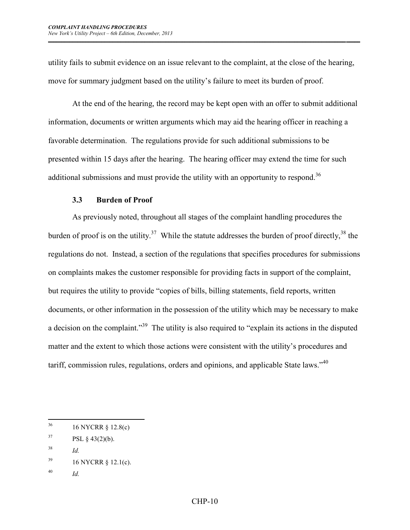utility fails to submit evidence on an issue relevant to the complaint, at the close of the hearing, move for summary judgment based on the utility's failure to meet its burden of proof.

*\_\_\_\_\_\_\_\_\_\_\_\_\_\_\_\_\_\_\_\_\_\_\_\_\_\_\_\_\_\_\_\_\_\_\_\_\_\_\_\_\_\_\_\_\_\_\_\_\_\_\_\_\_\_\_\_\_\_\_\_\_\_\_\_\_\_\_\_\_\_\_\_\_\_\_\_\_\_\_\_\_\_\_\_\_\_\_\_\_\_\_\_\_\_\_\_\_\_\_\_\_\_\_\_\_\_\_\_\_\_\_ \_\_\_\_\_*

At the end of the hearing, the record may be kept open with an offer to submit additional information, documents or written arguments which may aid the hearing officer in reaching a favorable determination. The regulations provide for such additional submissions to be presented within 15 days after the hearing. The hearing officer may extend the time for such additional submissions and must provide the utility with an opportunity to respond.<sup>36</sup>

#### **3.3 Burden of Proof**

As previously noted, throughout all stages of the complaint handling procedures the burden of proof is on the utility.<sup>37</sup> While the statute addresses the burden of proof directly,<sup>38</sup> the regulations do not. Instead, a section of the regulations that specifies procedures for submissions on complaints makes the customer responsible for providing facts in support of the complaint, but requires the utility to provide "copies of bills, billing statements, field reports, written documents, or other information in the possession of the utility which may be necessary to make a decision on the complaint."<sup>39</sup> The utility is also required to "explain its actions in the disputed matter and the extent to which those actions were consistent with the utility's procedures and tariff, commission rules, regulations, orders and opinions, and applicable State laws."<sup>40</sup>

<sup>40</sup> *Id.*

 $36$ <sup>36</sup> 16 NYCRR § 12.8(c)

 ${}^{37}$  PSL § 43(2)(b).

<sup>38</sup> *Id.*

 $^{39}$  16 NYCRR § 12.1(c).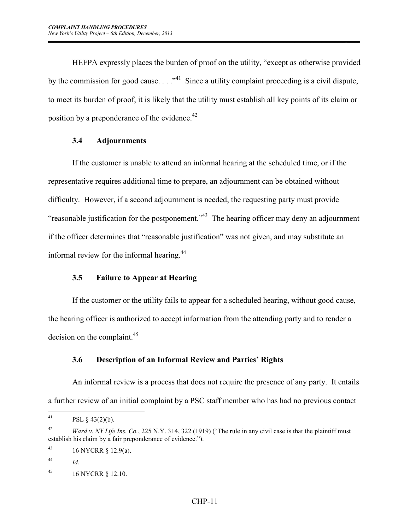HEFPA expressly places the burden of proof on the utility, "except as otherwise provided by the commission for good cause.  $\ldots$ <sup>41</sup> Since a utility complaint proceeding is a civil dispute, to meet its burden of proof, it is likely that the utility must establish all key points of its claim or position by a preponderance of the evidence.<sup>42</sup>

*\_\_\_\_\_\_\_\_\_\_\_\_\_\_\_\_\_\_\_\_\_\_\_\_\_\_\_\_\_\_\_\_\_\_\_\_\_\_\_\_\_\_\_\_\_\_\_\_\_\_\_\_\_\_\_\_\_\_\_\_\_\_\_\_\_\_\_\_\_\_\_\_\_\_\_\_\_\_\_\_\_\_\_\_\_\_\_\_\_\_\_\_\_\_\_\_\_\_\_\_\_\_\_\_\_\_\_\_\_\_\_ \_\_\_\_\_*

## **3.4 Adjournments**

If the customer is unable to attend an informal hearing at the scheduled time, or if the representative requires additional time to prepare, an adjournment can be obtained without difficulty. However, if a second adjournment is needed, the requesting party must provide "reasonable justification for the postponement."<sup>43</sup> The hearing officer may deny an adjournment if the officer determines that "reasonable justification" was not given, and may substitute an informal review for the informal hearing.<sup>44</sup>

## **3.5 Failure to Appear at Hearing**

If the customer or the utility fails to appear for a scheduled hearing, without good cause, the hearing officer is authorized to accept information from the attending party and to render a decision on the complaint. $45$ 

# **3.6 Description of an Informal Review and Parties' Rights**

An informal review is a process that does not require the presence of any party. It entails a further review of an initial complaint by a PSC staff member who has had no previous contact

 $41$ PSL  $§$  43(2)(b).

<sup>&</sup>lt;sup>42</sup> *Ward v. NY Life Ins. Co.*, 225 N.Y. 314, 322 (1919) ("The rule in any civil case is that the plaintiff must establish his claim by a fair preponderance of evidence.").

<sup>43 16</sup> NYCRR  $\S$  12.9(a).

<sup>44</sup> *Id.*

<sup>45</sup> 16 NYCRR § 12.10.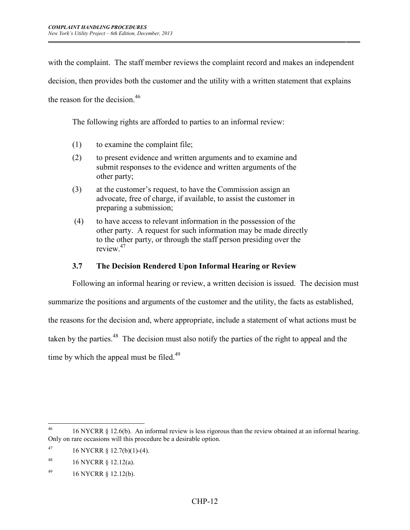with the complaint. The staff member reviews the complaint record and makes an independent

*\_\_\_\_\_\_\_\_\_\_\_\_\_\_\_\_\_\_\_\_\_\_\_\_\_\_\_\_\_\_\_\_\_\_\_\_\_\_\_\_\_\_\_\_\_\_\_\_\_\_\_\_\_\_\_\_\_\_\_\_\_\_\_\_\_\_\_\_\_\_\_\_\_\_\_\_\_\_\_\_\_\_\_\_\_\_\_\_\_\_\_\_\_\_\_\_\_\_\_\_\_\_\_\_\_\_\_\_\_\_\_ \_\_\_\_\_*

decision, then provides both the customer and the utility with a written statement that explains

the reason for the decision.<sup>46</sup>

The following rights are afforded to parties to an informal review:

- (1) to examine the complaint file;
- (2) to present evidence and written arguments and to examine and submit responses to the evidence and written arguments of the other party;
- (3) at the customer's request, to have the Commission assign an advocate, free of charge, if available, to assist the customer in preparing a submission;
- (4) to have access to relevant information in the possession of the other party. A request for such information may be made directly to the other party, or through the staff person presiding over the review<sup>47</sup>

#### **3.7 The Decision Rendered Upon Informal Hearing or Review**

Following an informal hearing or review, a written decision is issued. The decision must

summarize the positions and arguments of the customer and the utility, the facts as established,

the reasons for the decision and, where appropriate, include a statement of what actions must be

taken by the parties.<sup>48</sup> The decision must also notify the parties of the right to appeal and the

time by which the appeal must be filed.<sup>49</sup>

 $46$ <sup>46</sup> 16 NYCRR § 12.6(b). An informal review is less rigorous than the review obtained at an informal hearing. Only on rare occasions will this procedure be a desirable option.

<sup>47 16</sup> NYCRR  $\S$  12.7(b)(1)-(4).

<sup>48</sup> 16 NYCRR § 12.12(a).

 $^{49}$  16 NYCRR § 12.12(b).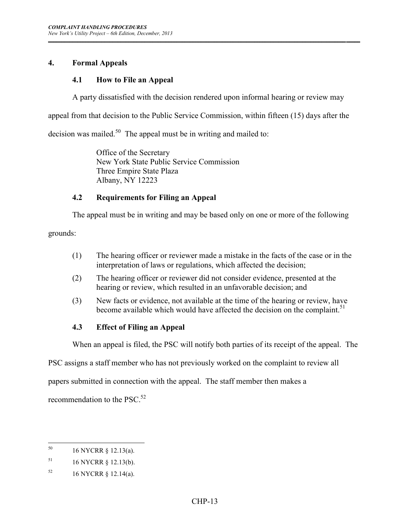## **4. Formal Appeals**

## **4.1 How to File an Appeal**

A party dissatisfied with the decision rendered upon informal hearing or review may

*\_\_\_\_\_\_\_\_\_\_\_\_\_\_\_\_\_\_\_\_\_\_\_\_\_\_\_\_\_\_\_\_\_\_\_\_\_\_\_\_\_\_\_\_\_\_\_\_\_\_\_\_\_\_\_\_\_\_\_\_\_\_\_\_\_\_\_\_\_\_\_\_\_\_\_\_\_\_\_\_\_\_\_\_\_\_\_\_\_\_\_\_\_\_\_\_\_\_\_\_\_\_\_\_\_\_\_\_\_\_\_ \_\_\_\_\_*

appeal from that decision to the Public Service Commission, within fifteen (15) days after the

decision was mailed.<sup>50</sup> The appeal must be in writing and mailed to:

 Office of the Secretary New York State Public Service Commission Three Empire State Plaza Albany, NY 12223

## **4.2 Requirements for Filing an Appeal**

The appeal must be in writing and may be based only on one or more of the following

grounds:

- (1) The hearing officer or reviewer made a mistake in the facts of the case or in the interpretation of laws or regulations, which affected the decision;
- (2) The hearing officer or reviewer did not consider evidence, presented at the hearing or review, which resulted in an unfavorable decision; and
- (3) New facts or evidence, not available at the time of the hearing or review, have become available which would have affected the decision on the complaint.<sup>51</sup>

# **4.3 Effect of Filing an Appeal**

When an appeal is filed, the PSC will notify both parties of its receipt of the appeal. The

PSC assigns a staff member who has not previously worked on the complaint to review all

papers submitted in connection with the appeal. The staff member then makes a

recommendation to the PSC.<sup>52</sup>

<sup>50</sup> <sup>50</sup> 16 NYCRR § 12.13(a).

<sup>51</sup> 16 NYCRR § 12.13(b).

 $^{52}$  16 NYCRR § 12.14(a).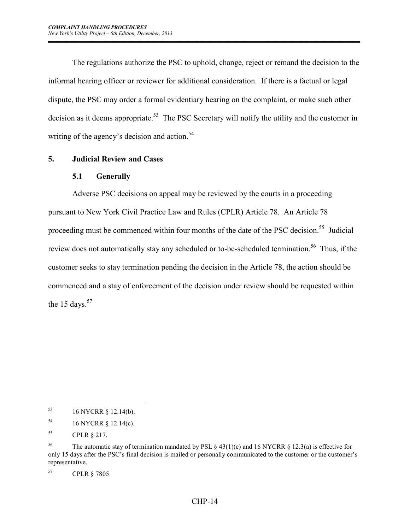The regulations authorize the PSC to uphold, change, reject or remand the decision to the informal hearing officer or reviewer for additional consideration. If there is a factual or legal dispute, the PSC may order a formal evidentiary hearing on the complaint, or make such other decision as it deems appropriate.<sup>53</sup> The PSC Secretary will notify the utility and the customer in writing of the agency's decision and action.<sup>54</sup>

*\_\_\_\_\_\_\_\_\_\_\_\_\_\_\_\_\_\_\_\_\_\_\_\_\_\_\_\_\_\_\_\_\_\_\_\_\_\_\_\_\_\_\_\_\_\_\_\_\_\_\_\_\_\_\_\_\_\_\_\_\_\_\_\_\_\_\_\_\_\_\_\_\_\_\_\_\_\_\_\_\_\_\_\_\_\_\_\_\_\_\_\_\_\_\_\_\_\_\_\_\_\_\_\_\_\_\_\_\_\_\_ \_\_\_\_\_*

#### **5. Judicial Review and Cases**

#### **5.1 Generally**

Adverse PSC decisions on appeal may be reviewed by the courts in a proceeding pursuant to New York Civil Practice Law and Rules (CPLR) Article 78. An Article 78 proceeding must be commenced within four months of the date of the PSC decision.<sup>55</sup> Judicial review does not automatically stay any scheduled or to-be-scheduled termination.<sup>56</sup> Thus, if the customer seeks to stay termination pending the decision in the Article 78, the action should be commenced and a stay of enforcement of the decision under review should be requested within the 15 days. $57$ 

<sup>53</sup> <sup>53</sup> 16 NYCRR § 12.14(b).

<sup>54</sup> 16 NYCRR § 12.14(c).

<sup>55</sup> CPLR § 217.

<sup>&</sup>lt;sup>56</sup> The automatic stay of termination mandated by PSL  $\S$  43(1)(c) and 16 NYCRR  $\S$  12.3(a) is effective for only 15 days after the PSC's final decision is mailed or personally communicated to the customer or the customer's representative.

<sup>57</sup> CPLR § 7805.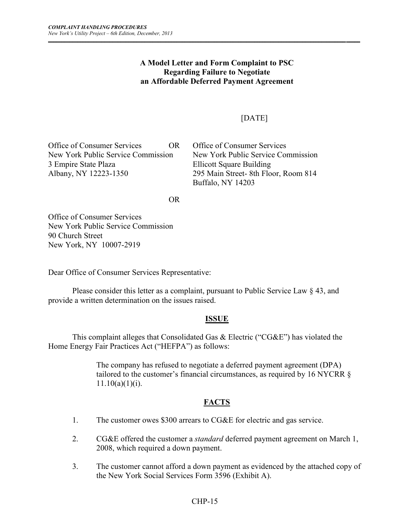#### **A Model Letter and Form Complaint to PSC Regarding Failure to Negotiate an Affordable Deferred Payment Agreement**

*\_\_\_\_\_\_\_\_\_\_\_\_\_\_\_\_\_\_\_\_\_\_\_\_\_\_\_\_\_\_\_\_\_\_\_\_\_\_\_\_\_\_\_\_\_\_\_\_\_\_\_\_\_\_\_\_\_\_\_\_\_\_\_\_\_\_\_\_\_\_\_\_\_\_\_\_\_\_\_\_\_\_\_\_\_\_\_\_\_\_\_\_\_\_\_\_\_\_\_\_\_\_\_\_\_\_\_\_\_\_\_ \_\_\_\_\_*

# [DATE]

Office of Consumer Services OR Office of Consumer Services New York Public Service Commission New York Public Service Commission 3 Empire State Plaza Ellicott Square Building Albany, NY 12223-1350 295 Main Street- 8th Floor, Room 814

Buffalo, NY 14203

OR

Office of Consumer Services New York Public Service Commission 90 Church Street New York, NY 10007-2919

Dear Office of Consumer Services Representative:

Please consider this letter as a complaint, pursuant to Public Service Law § 43, and provide a written determination on the issues raised.

## **ISSUE**

This complaint alleges that Consolidated Gas & Electric ("CG&E") has violated the Home Energy Fair Practices Act ("HEFPA") as follows:

> The company has refused to negotiate a deferred payment agreement (DPA) tailored to the customer's financial circumstances, as required by 16 NYCRR §  $11.10(a)(1)(i)$ .

## **FACTS**

- 1. The customer owes \$300 arrears to CG&E for electric and gas service.
- 2. CG&E offered the customer a *standard* deferred payment agreement on March 1, 2008, which required a down payment.
- 3. The customer cannot afford a down payment as evidenced by the attached copy of the New York Social Services Form 3596 (Exhibit A).